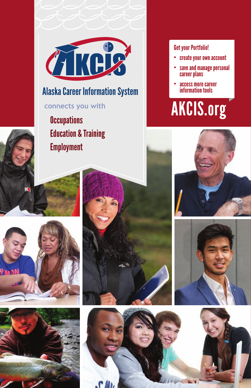

Education & Training **Employment Occupations** 

#### Get your Portfolio!

- • create your own account
- • save and manage personal career plans
- access more career information tools

# **connects you with AKCIS.org**







**Frank** 



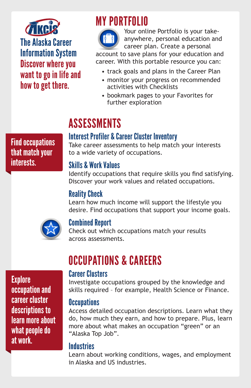

# MY PORTFOLIO



Your online Portfolio is your takeanywhere, personal education and career plan. Create a personal

account to save plans for your education and career. With this portable resource you can:

- track goals and plans in the Career Plan
- monitor your progress on recommended activities with Checklists
- bookmark pages to your Favorites for further exploration

# **ASSESSMENTS**

#### Interest Profiler & Career Cluster Inventory

Find occupations that match your interests.

Take career assessments to help match your interests to a wide variety of occupations.

#### Skills & Work Values

Identify occupations that require skills you find satisfying. Discover your work values and related occupations.

#### Reality Check

Learn how much income will support the lifestyle you desire. Find occupations that support your income goals.



#### Combined Report

Check out which occupations match your results across assessments.

OCCUPATIONS & CAREERS

#### Career Clusters

Investigate occupations grouped by the knowledge and skills required – for example, Health Science or Finance.

#### **Occupations**

Access detailed occupation descriptions. Learn what they do, how much they earn, and how to prepare. Plus, learn more about what makes an occupation "green" or an "Alaska Top Job".

#### **Industries**

Learn about working conditions, wages, and employment in Alaska and US industries.

**Explore** occupation and career cluster descriptions to learn more about what people do at work.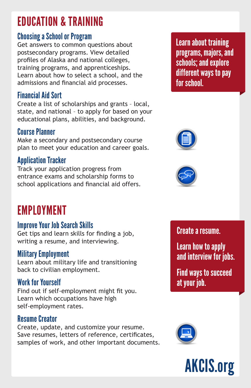# EDUCATION & TRAINING

#### Choosing a School or Program

Get answers to common questions about postsecondary programs. View detailed profiles of Alaska and national colleges, training programs, and apprenticeships. Learn about how to select a school, and the admissions and financial aid processes.

### Financial Aid Sort

Create a list of scholarships and grants – local, state, and national – to apply for based on your educational plans, abilities, and background.

### Course Planner

Make a secondary and postsecondary course plan to meet your education and career goals.

## Application Tracker

Track your application progress from entrance exams and scholarship forms to school applications and financial aid offers.

# EMPLOYMENT

#### Improve Your Job Search Skills

Get tips and learn skills for finding a job, writing a resume, and interviewing.

#### Military Employment

Learn about military life and transitioning back to civilian employment.

### Work for Yourself

Find out if self-employment might fit you. Learn which occupations have high self-employment rates.

#### Resume Creator

Create, update, and customize your resume. Save resumes, letters of reference, certificates, samples of work, and other important documents. Learn about training programs, majors, and schools; and explore different ways to pay for school.





### Create a resume.

Learn how to apply and interview for jobs.

Find ways to succeed at your job.